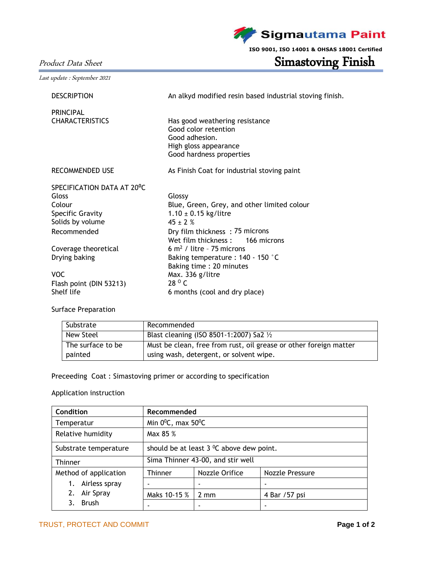**Sigmautama Paint** 

**ISO 9001, ISO 14001 & OHSAS 18001 Certified**

# Product Data Sheet Simastoving Finish

Last update : September 2021

| <b>DESCRIPTION</b>         | An alkyd modified resin based industrial stoving finish. |  |  |
|----------------------------|----------------------------------------------------------|--|--|
| <b>PRINCIPAL</b>           |                                                          |  |  |
| <b>CHARACTERISTICS</b>     | Has good weathering resistance                           |  |  |
|                            | Good color retention                                     |  |  |
|                            | Good adhesion.                                           |  |  |
|                            | High gloss appearance                                    |  |  |
|                            | Good hardness properties                                 |  |  |
| <b>RECOMMENDED USE</b>     | As Finish Coat for industrial stoving paint              |  |  |
| SPECIFICATION DATA AT 20°C |                                                          |  |  |
| Gloss                      | Glossy                                                   |  |  |
| Colour                     | Blue, Green, Grey, and other limited colour              |  |  |
| <b>Specific Gravity</b>    | $1.10 \pm 0.15$ kg/litre                                 |  |  |
| Solids by volume           | $45 \pm 2%$                                              |  |  |
| Recommended                | Dry film thickness: 75 microns                           |  |  |
|                            | Wet film thickness: 166 microns                          |  |  |
| Coverage theoretical       | 6 $m2$ / litre - 75 microns                              |  |  |
| Drying baking              | Baking temperature : 140 - 150 °C                        |  |  |
|                            | Baking time: 20 minutes                                  |  |  |
| VOC.                       | Max. 336 g/litre                                         |  |  |
| Flash point (DIN 53213)    | $28^{\circ}$ C                                           |  |  |
| Shelf life                 | 6 months (cool and dry place)                            |  |  |

## Surface Preparation

| Substrate         | Recommended                                                       |
|-------------------|-------------------------------------------------------------------|
| New Steel         | Blast cleaning (ISO 8501-1:2007) Sa2 1/2                          |
| The surface to be | Must be clean, free from rust, oil grease or other foreign matter |
| painted           | using wash, detergent, or solvent wipe.                           |

# Preceeding Coat : Simastoving primer or according to specification

## Application instruction

| Condition             | Recommended                                          |                |                 |  |  |
|-----------------------|------------------------------------------------------|----------------|-----------------|--|--|
| Temperatur            | Min $0^0C$ , max $50^0C$                             |                |                 |  |  |
| Relative humidity     | Max 85 %                                             |                |                 |  |  |
| Substrate temperature | should be at least $3 \,^0\text{C}$ above dew point. |                |                 |  |  |
| Thinner               | Sima Thinner 43-00, and stir well                    |                |                 |  |  |
| Method of application | Thinner                                              | Nozzle Orifice | Nozzle Pressure |  |  |
| Airless spray<br>1.   |                                                      |                |                 |  |  |
| Air Spray<br>2.       | Maks 10-15 %                                         | $2 \text{ mm}$ | 4 Bar / 57 psi  |  |  |
| <b>Brush</b>          |                                                      |                |                 |  |  |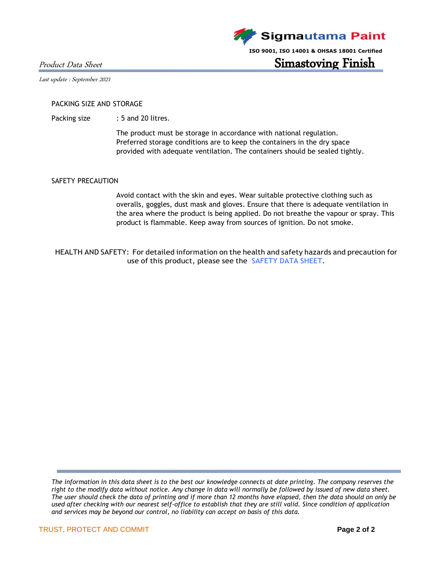Product Data Sheet **Simastoving Finish** 

Last update : September 2021

#### PACKING SIZE AND STORAGE

Packing size : 5 and 20 litres.

The product must be storage in accordance with national regulation. Preferred storage conditions are to keep the containers in the dry space provided with adequate ventilation. The containers should be sealed tightly.

#### SAFETY PRECAUTION

Avoid contact with the skin and eyes. Wear suitable protective clothing such as overalls, goggles, dust mask and gloves. Ensure that there is adequate ventilation in the area where the product is being applied. Do not breathe the vapour or spray. This product is flammable. Keep away from sources of ignition. Do not smoke.

HEALTH AND SAFETY: For detailed information on the health and safety hazards and precaution for use of this product, please see the SAFETY DATA SHEET.

*The information in this data sheet is to the best our knowledge connects at date printing. The company reserves the right to the modify data without notice. Any change in data will normally be followed by issued of new data sheet. The user should check the data of printing and if more than 12 months have elapsed, then the data should on only be used after checking with our nearest self-office to establish that they are still valid. Since condition of application and services may be beyond our control, no liability can accept on basis of this data.*



**ISO 9001, ISO 14001 & OHSAS 18001 Certified**